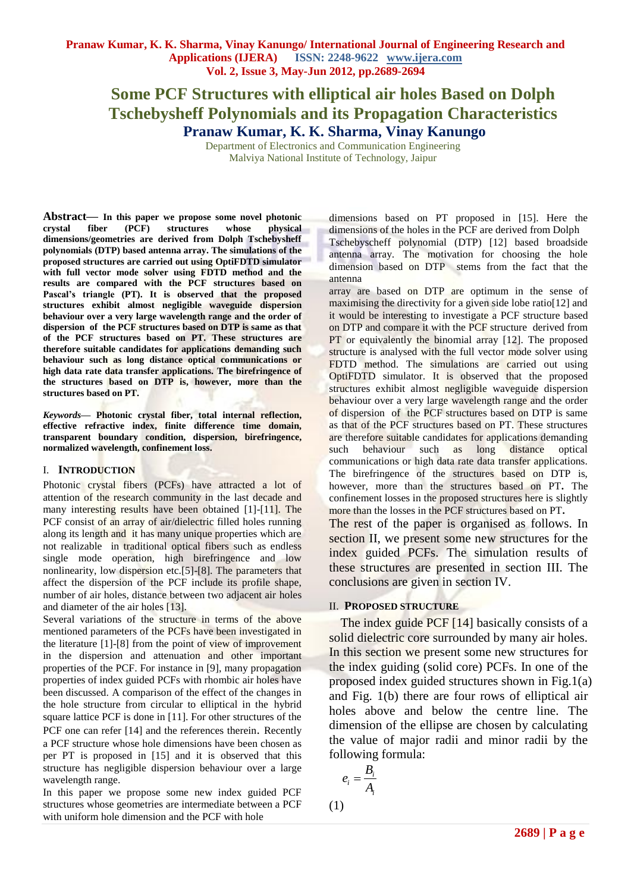# **Some PCF Structures with elliptical air holes Based on Dolph Tschebysheff Polynomials and its Propagation Characteristics Pranaw Kumar, K. K. Sharma, Vinay Kanungo**

Department of Electronics and Communication Engineering Malviya National Institute of Technology, Jaipur

**Abstract***—* **In this paper we propose some novel photonic crystal fiber (PCF) structures whose physical dimensions/geometries are derived from Dolph Tschebysheff polynomials (DTP) based antenna array. The simulations of the proposed structures are carried out using OptiFDTD simulator with full vector mode solver using FDTD method and the results are compared with the PCF structures based on Pascal's triangle (PT). It is observed that the proposed structures exhibit almost negligible waveguide dispersion behaviour over a very large wavelength range and the order of dispersion of the PCF structures based on DTP is same as that of the PCF structures based on PT. These structures are therefore suitable candidates for applications demanding such behaviour such as long distance optical communications or high data rate data transfer applications. The birefringence of the structures based on DTP is, however, more than the structures based on PT.** 

*Keywords***— Photonic crystal fiber, total internal reflection, effective refractive index, finite difference time domain, transparent boundary condition, dispersion, birefringence, normalized wavelength, confinement loss.**

#### I. **INTRODUCTION**

Photonic crystal fibers (PCFs) have attracted a lot of attention of the research community in the last decade and many interesting results have been obtained [1]-[11]. The PCF consist of an array of air/dielectric filled holes running along its length and it has many unique properties which are not realizable in traditional optical fibers such as endless single mode operation, high birefringence and low nonlinearity, low dispersion etc.[5]-[8]. The parameters that affect the dispersion of the PCF include its profile shape, number of air holes, distance between two adjacent air holes and diameter of the air holes [13].

Several variations of the structure in terms of the above mentioned parameters of the PCFs have been investigated in the literature [1]-[8] from the point of view of improvement in the dispersion and attenuation and other important properties of the PCF. For instance in [9], many propagation properties of index guided PCFs with rhombic air holes have been discussed. A comparison of the effect of the changes in the hole structure from circular to elliptical in the hybrid square lattice PCF is done in [11]. For other structures of the PCF one can refer [14] and the references therein. Recently a PCF structure whose hole dimensions have been chosen as per PT is proposed in [15] and it is observed that this structure has negligible dispersion behaviour over a large wavelength range.

In this paper we propose some new index guided PCF structures whose geometries are intermediate between a PCF with uniform hole dimension and the PCF with hole

dimensions based on PT proposed in [15]. Here the dimensions of the holes in the PCF are derived from Dolph Tschebyscheff polynomial (DTP) [12] based broadside antenna array. The motivation for choosing the hole dimension based on DTP stems from the fact that the antenna

array are based on DTP are optimum in the sense of maximising the directivity for a given side lobe ratio[12] and it would be interesting to investigate a PCF structure based on DTP and compare it with the PCF structure derived from PT or equivalently the binomial array [12]. The proposed structure is analysed with the full vector mode solver using FDTD method. The simulations are carried out using OptiFDTD simulator. It is observed that the proposed structures exhibit almost negligible waveguide dispersion behaviour over a very large wavelength range and the order of dispersion of the PCF structures based on DTP is same as that of the PCF structures based on PT. These structures are therefore suitable candidates for applications demanding such behaviour such as long distance optical communications or high data rate data transfer applications. The birefringence of the structures based on DTP is, however, more than the structures based on PT**.** The confinement losses in the proposed structures here is slightly more than the losses in the PCF structures based on PT**.**

The rest of the paper is organised as follows. In section II, we present some new structures for the index guided PCFs. The simulation results of these structures are presented in section III. The conclusions are given in section IV.

#### II. **PROPOSED STRUCTURE**

The index guide PCF [14] basically consists of a solid dielectric core surrounded by many air holes. In this section we present some new structures for the index guiding (solid core) PCFs. In one of the proposed index guided structures shown in Fig.1(a) and Fig. 1(b) there are four rows of elliptical air holes above and below the centre line. The dimension of the ellipse are chosen by calculating the value of major radii and minor radii by the following formula:

$$
e_i = \frac{B_i}{A_i}
$$
 (1)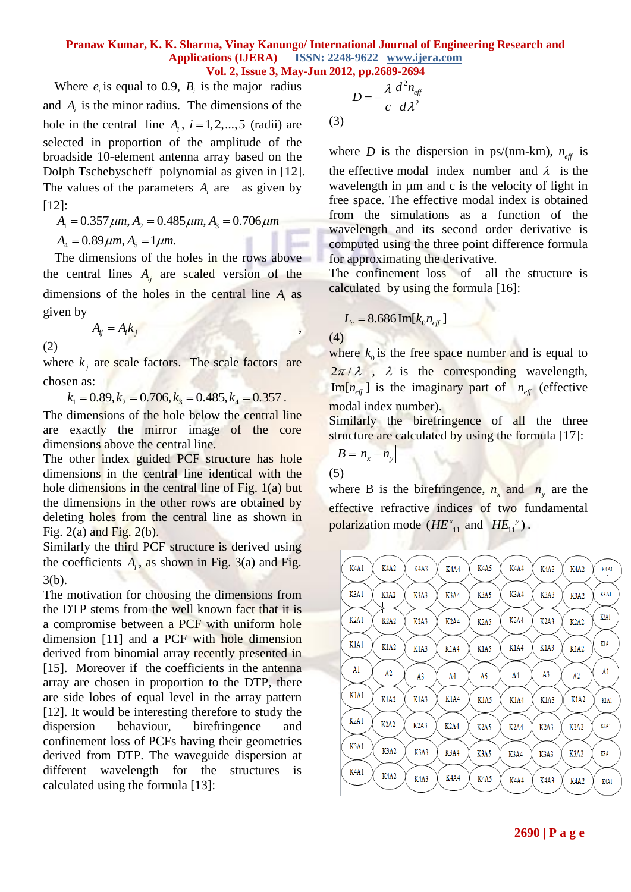(3)

Where  $e_i$  is equal to 0.9,  $B_i$  is the major radius and  $A_i$  is the minor radius. The dimensions of the hole in the central line  $A_i$ ,  $i = 1, 2, \dots, 5$  (radii) are selected in proportion of the amplitude of the broadside 10-element antenna array based on the Dolph Tschebyscheff polynomial as given in [12]. The values of the parameters  $A_i$  are as given by [12]:  $\mu$ m, A<sub>2</sub> = 0.485 $\mu$ m, A<sub>3</sub> = 0.706 $\mu$ m

2]:  
\n
$$
A_1 = 0.357 \mu m, A_2 = 0.485 \mu m, A_3 = 0.706 \mu m
$$
  
\n $A_4 = 0.89 \mu m, A_5 = 1 \mu m.$ 

The dimensions of the holes in the rows above the central lines  $A_{ij}$  are scaled version of the dimensions of the holes in the central line *Ai* as given by

$$
A_{ij} = A_i k_j
$$

(2)

where  $k_j$  are scale factors. The scale factors are chosen as:

 $k_1 = 0.89, k_2 = 0.706, k_3 = 0.485, k_4 = 0.357$ .

The dimensions of the hole below the central line are exactly the mirror image of the core dimensions above the central line.

The other index guided PCF structure has hole dimensions in the central line identical with the hole dimensions in the central line of Fig. 1(a) but the dimensions in the other rows are obtained by deleting holes from the central line as shown in Fig.  $2(a)$  and Fig.  $2(b)$ .

Similarly the third PCF structure is derived using the coefficients  $A_i$ , as shown in Fig. 3(a) and Fig. 3(b).

The motivation for choosing the dimensions from the DTP stems from the well known fact that it is a compromise between a PCF with uniform hole dimension [11] and a PCF with hole dimension derived from binomial array recently presented in [15]. Moreover if the coefficients in the antenna array are chosen in proportion to the DTP, there are side lobes of equal level in the array pattern [12]. It would be interesting therefore to study the dispersion behaviour, birefringence and confinement loss of PCFs having their geometries derived from DTP. The waveguide dispersion at different wavelength for the structures is calculated using the formula [13]:

$$
D=-\frac{\lambda}{c}\frac{d^2n_{\text{eff}}}{d\lambda^2}
$$

where *D* is the dispersion in ps/(nm-km),  $n_{\text{eff}}$  is the effective modal index number and  $\lambda$  is the wavelength in  $\mu$ m and c is the velocity of light in free space. The effective modal index is obtained from the simulations as a function of the wavelength and its second order derivative is computed using the three point difference formula for approximating the derivative.

The confinement loss of all the structure is calculated by using the formula [16]:

$$
L_c = 8.686 \operatorname{Im}[k_0 n_{\text{eff}}]
$$

(4)

where  $k_0$  is the free space number and is equal to  $2\pi/\lambda$ ,  $\lambda$  is the corresponding wavelength,  $\text{Im}[n_{\text{eff}}]$  is the imaginary part of  $n_{\text{eff}}$  (effective modal index number).

Similarly the birefringence of all the three structure are calculated by using the formula [17]:

$$
B = |n_x - n_y|
$$

$$
(5)
$$

where B is the birefringence,  $n_x$  and  $n_y$  are the effective refractive indices of two fundamental polarization mode  $(HE_{11}^x$  and  $HE_{11}^y)$ .

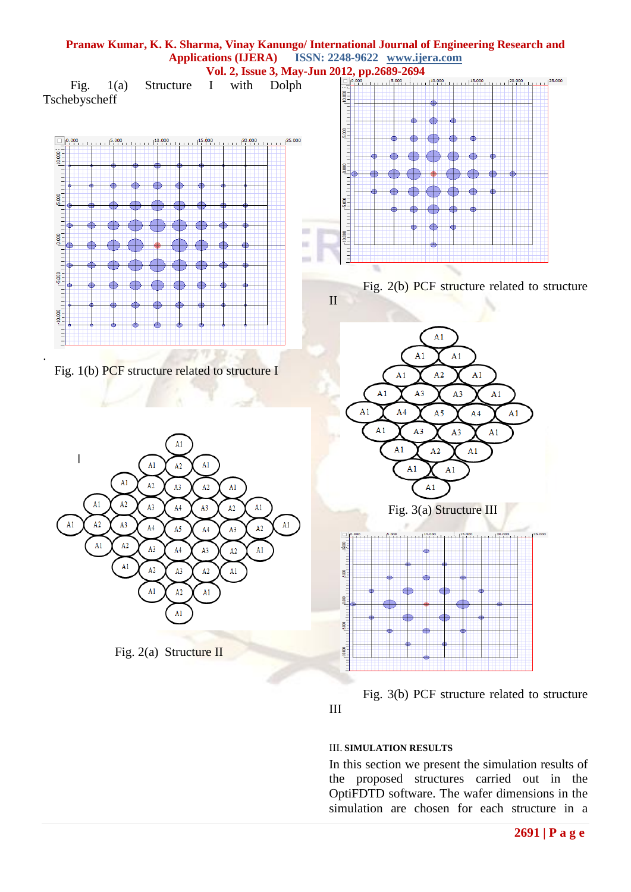

### III. **SIMULATION RESULTS**

In this section we present the simulation results of the proposed structures carried out in the OptiFDTD software. The wafer dimensions in the simulation are chosen for each structure in a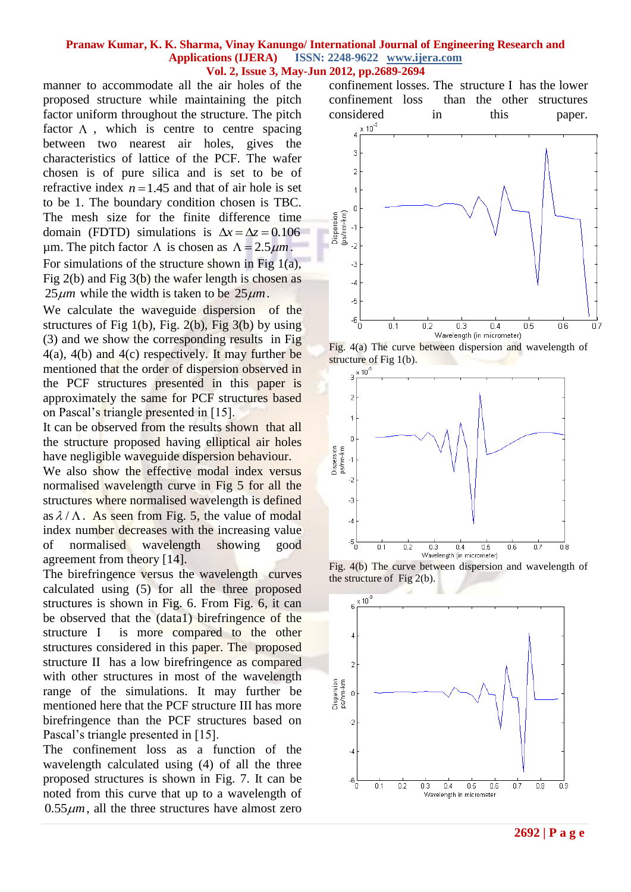manner to accommodate all the air holes of the proposed structure while maintaining the pitch factor uniform throughout the structure. The pitch factor  $\Lambda$ , which is centre to centre spacing between two nearest air holes, gives the characteristics of lattice of the PCF. The wafer chosen is of pure silica and is set to be of refractive index  $n = 1.45$  and that of air hole is set to be 1. The boundary condition chosen is TBC. The mesh size for the finite difference time domain (FDTD) simulations is  $\Delta x = \Delta z = 0.106$  $\mu$ m. The pitch factor  $\Lambda$  is chosen as  $\Lambda = 2.5 \mu m$ . For simulations of the structure shown in Fig 1(a), Fig 2(b) and Fig 3(b) the wafer length is chosen as  $25 \mu m$  while the width is taken to be  $25 \mu m$ .

We calculate the waveguide dispersion of the structures of Fig  $1(b)$ , Fig.  $2(b)$ , Fig  $3(b)$  by using (3) and we show the corresponding results in Fig 4(a), 4(b) and 4(c) respectively. It may further be mentioned that the order of dispersion observed in the PCF structures presented in this paper is approximately the same for PCF structures based on Pascal"s triangle presented in [15].

It can be observed from the results shown that all the structure proposed having elliptical air holes have negligible waveguide dispersion behaviour.

We also show the effective modal index versus normalised wavelength curve in Fig 5 for all the structures where normalised wavelength is defined as  $\lambda / \Lambda$ . As seen from Fig. 5, the value of modal index number decreases with the increasing value of normalised wavelength showing good agreement from theory [14].

The birefringence versus the wavelength curves calculated using (5) for all the three proposed structures is shown in Fig. 6. From Fig. 6, it can be observed that the (data1) birefringence of the structure I is more compared to the other structures considered in this paper. The proposed structure II has a low birefringence as compared with other structures in most of the wavelength range of the simulations. It may further be mentioned here that the PCF structure III has more birefringence than the PCF structures based on Pascal's triangle presented in [15].

The confinement loss as a function of the wavelength calculated using (4) of all the three proposed structures is shown in Fig. 7. It can be noted from this curve that up to a wavelength of  $0.55 \mu m$ , all the three structures have almost zero

confinement losses. The structure I has the lower confinement loss than the other structures considered in this paper.







Fig. 4(b) The curve between dispersion and wavelength of the structure of Fig 2(b).

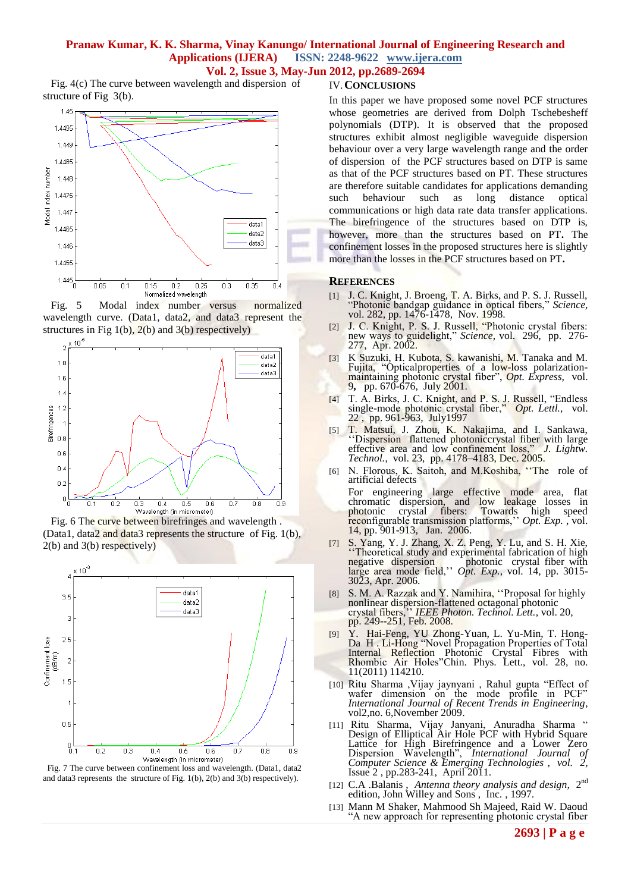## **Pranaw Kumar, K. K. Sharma, Vinay Kanungo/ International Journal of Engineering Research and Applications (IJERA) ISSN: 2248-9622 www.ijera.com**

**Vol. 2, Issue 3, May-Jun 2012, pp.2689-2694** Fig. 4(c) The curve between wavelength and dispersion of structure of Fig 3(b). IV.**CONCLUSIONS**







 Fig. 6 The curve between birefringes and wavelength . (Data1, data2 and data3 represents the structure of Fig. 1(b), 2(b) and 3(b) respectively)





In this paper we have proposed some novel PCF structures whose geometries are derived from Dolph Tschebesheff polynomials (DTP). It is observed that the proposed structures exhibit almost negligible waveguide dispersion behaviour over a very large wavelength range and the order of dispersion of the PCF structures based on DTP is same as that of the PCF structures based on PT. These structures are therefore suitable candidates for applications demanding such behaviour such as long distance optical communications or high data rate data transfer applications. The birefringence of the structures based on DTP is, however, more than the structures based on PT**.** The confinement losses in the proposed structures here is slightly more than the losses in the PCF structures based on PT**.** 

#### **REFERENCES**

- [1] J. C. Knight, J. Broeng, T. A. Birks, and P. S. J. Russell, "Photonic bandgap guidance in optical fibers," *Science,*  vol. 282, pp. 1476-1478, Nov. 1998.
- [2] J. C. Knight, P. S. J. Russell, "Photonic crystal fibers: new ways to guidelight," *Science,* vol. 296, pp. 276- 277, Apr. 2002.
- [3] K Suzuki, H. Kubota, S. kawanishi, M. Tanaka and M. Fujita, "Opticalproperties of a low-loss polarizationmaintaining photonic crystal fiber", *Opt. Express,* vol. 9**,** pp. 670-676, July 2001.
- [4] T. A. Birks, J. C. Knight, and P. S. J. Russell, "Endless single-mode photonic crystal fiber," *Opt. Lettl.,* vol. 22, pp. 961-963, July1997
- [5] T. Matsui, J. Zhou, K. Nakajima, and I. Sankawa, 'Dispersion flattened photoniccrystal fiber with large effective area and low confinement loss," *J. Lightw. Technol.*, vol. 23, pp. 4178–4183, Dec. 2005.
- [6] N. Florous, K. Saitoh, and M.Koshiba, ""The role of artificial defects
- For engineering large effective mode area, flat chromatic dispersion, and low leakage losses in photonic crystal fibers: Towards high speed reconfigurable transmission platforms,"" *Opt. Exp.* , vol. 14, pp. 901-913, Jan. 2006.
- [7] S. Yang, Y. J. Zhang, X. Z. Peng, Y. Lu, and S. H. Xie, "Theoretical study and experimental fabrication of high negative dispersion photonic crystal fiber with large area mode field," *Opt. Exp.*, vol. 14, pp. 3015-3023, Apr. 2006.
- S. M. A. Razzak and Y. Namihira, "Proposal for highly nonlinear dispersion-flattened octagonal photonic crystal fibers,"" *IEEE Photon. Technol. Lett.*, vol. 20, pp. 249--251, Feb. 2008.
- [9] Y. Hai-Feng, YU Zhong-Yuan, L. Yu-Min, T. Hong-Da H. Li-Hong "Novel Propagation Properties of Total Internal Reflection Photonic Crystal Fibres with Rhombic Air Holes"Chin. Phys. Lett., vol. 28, no. 11(2011) 114210.
- [10] Ritu Sharma ,Vijay jaynyani , Rahul gupta "Effect of wafer dimension on the mode profile in PCF" *International Journal of Recent Trends in Engineering*, vol2, no. 6, November 2009.
- [11] Ritu Sharma, Vijay Janyani, Anuradha Sharma " Design of Elliptical Air Hole PCF with Hybrid Square Lattice for High Birefringence and a Lower Zero Dispersion Wavelength", *International Journal of Computer Science & Emerging Technologies , vol. 2,* Issue 2 , pp.283-241, April 2011.
- [12] C.A .Balanis, Antenna theory analysis and design, 2<sup>nd</sup> edition, John Willey and Sons , Inc. , 1997.
- [13] Mann M Shaker, Mahmood Sh Majeed, Raid W. Daoud "A new approach for representing photonic crystal fiber